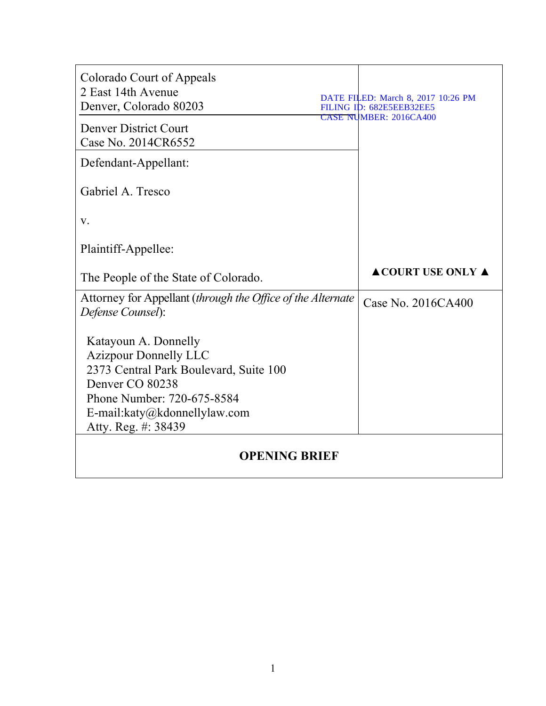| Colorado Court of Appeals<br>2 East 14th Avenue<br>Denver, Colorado 80203        | DATE FILED: March 8, 2017 10:26 PM<br>FILING ID: 682E5EEB32EE5 |  |  |
|----------------------------------------------------------------------------------|----------------------------------------------------------------|--|--|
| <b>Denver District Court</b><br>Case No. 2014CR6552                              | <b>CASE NUMBER: 2016CA400</b>                                  |  |  |
| Defendant-Appellant:                                                             |                                                                |  |  |
| Gabriel A. Tresco                                                                |                                                                |  |  |
| V.                                                                               |                                                                |  |  |
| Plaintiff-Appellee:                                                              |                                                                |  |  |
| The People of the State of Colorado.                                             | <b>ACOURT USE ONLY A</b>                                       |  |  |
| Attorney for Appellant (through the Office of the Alternate<br>Defense Counsel): | Case No. 2016CA400                                             |  |  |
| Katayoun A. Donnelly<br><b>Azizpour Donnelly LLC</b>                             |                                                                |  |  |
| 2373 Central Park Boulevard, Suite 100<br>Denver CO 80238                        |                                                                |  |  |
| Phone Number: 720-675-8584                                                       |                                                                |  |  |
| E-mail: $katy@kdonnelly law.com$<br>Atty. Reg. #: 38439                          |                                                                |  |  |
| <b>OPENING BRIEF</b>                                                             |                                                                |  |  |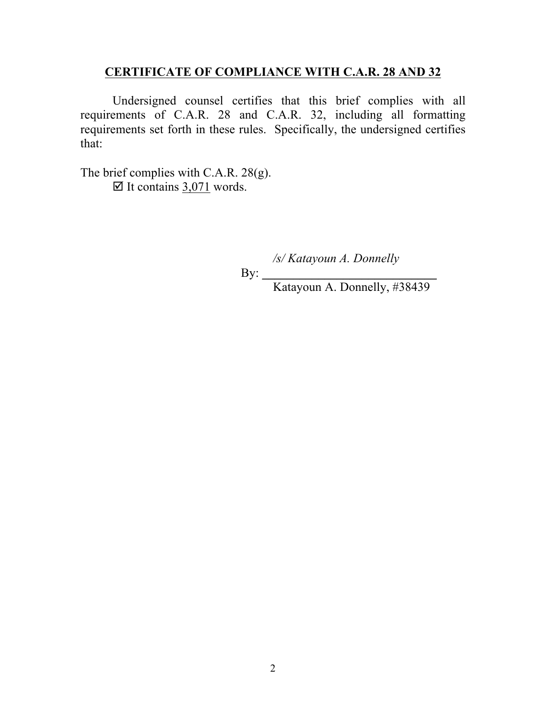## **CERTIFICATE OF COMPLIANCE WITH C.A.R. 28 AND 32**

Undersigned counsel certifies that this brief complies with all requirements of C.A.R. 28 and C.A.R. 32, including all formatting requirements set forth in these rules. Specifically, the undersigned certifies that:

The brief complies with C.A.R. 28(g).  $\boxtimes$  It contains 3,071 words.

*/s/ Katayoun A. Donnelly*

By: \_\_\_\_\_\_\_\_\_\_\_\_\_\_\_\_\_\_\_\_\_\_\_\_\_\_\_\_

Katayoun A. Donnelly, #38439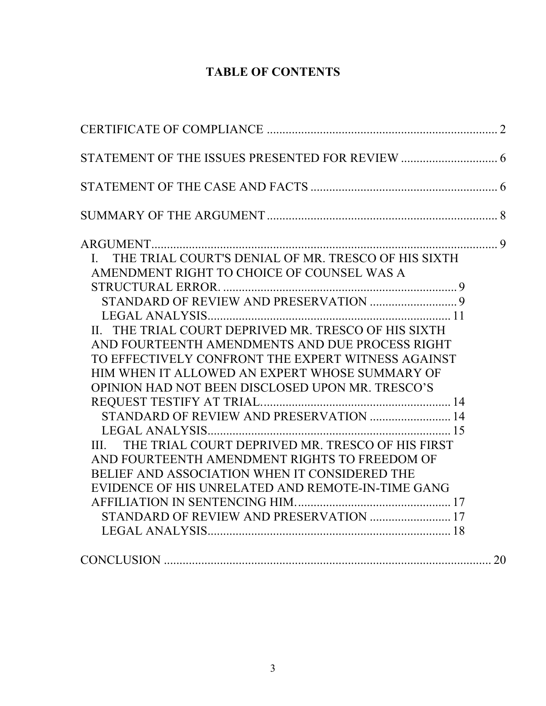# **TABLE OF CONTENTS**

| ARGUMENT                                               |  |
|--------------------------------------------------------|--|
| I. THE TRIAL COURT'S DENIAL OF MR. TRESCO OF HIS SIXTH |  |
| AMENDMENT RIGHT TO CHOICE OF COUNSEL WAS A             |  |
|                                                        |  |
|                                                        |  |
|                                                        |  |
| II. THE TRIAL COURT DEPRIVED MR. TRESCO OF HIS SIXTH   |  |
| AND FOURTEENTH AMENDMENTS AND DUE PROCESS RIGHT        |  |
| TO EFFECTIVELY CONFRONT THE EXPERT WITNESS AGAINST     |  |
| HIM WHEN IT ALLOWED AN EXPERT WHOSE SUMMARY OF         |  |
| OPINION HAD NOT BEEN DISCLOSED UPON MR. TRESCO'S       |  |
|                                                        |  |
| STANDARD OF REVIEW AND PRESERVATION  14                |  |
|                                                        |  |
| III. THE TRIAL COURT DEPRIVED MR. TRESCO OF HIS FIRST  |  |
| AND FOURTEENTH AMENDMENT RIGHTS TO FREEDOM OF          |  |
| BELIEF AND ASSOCIATION WHEN IT CONSIDERED THE          |  |
| EVIDENCE OF HIS UNRELATED AND REMOTE-IN-TIME GANG      |  |
|                                                        |  |
| STANDARD OF REVIEW AND PRESERVATION  17                |  |
|                                                        |  |
|                                                        |  |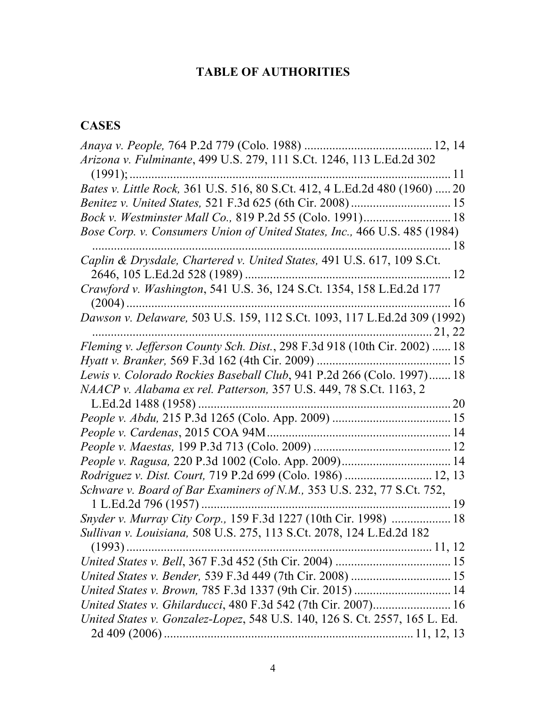# **TABLE OF AUTHORITIES**

## **CASES**

| Arizona v. Fulminante, 499 U.S. 279, 111 S.Ct. 1246, 113 L.Ed.2d 302       |    |
|----------------------------------------------------------------------------|----|
| $(1991); \dots$                                                            |    |
| Bates v. Little Rock, 361 U.S. 516, 80 S.Ct. 412, 4 L.Ed.2d 480 (1960)  20 |    |
|                                                                            |    |
|                                                                            |    |
| Bose Corp. v. Consumers Union of United States, Inc., 466 U.S. 485 (1984)  |    |
|                                                                            |    |
| Caplin & Drysdale, Chartered v. United States, 491 U.S. 617, 109 S.Ct.     |    |
| 2646, 105 L.Ed.2d 528 (1989)                                               |    |
| Crawford v. Washington, 541 U.S. 36, 124 S.Ct. 1354, 158 L.Ed.2d 177       |    |
|                                                                            | 16 |
| Dawson v. Delaware, 503 U.S. 159, 112 S.Ct. 1093, 117 L.Ed.2d 309 (1992)   |    |
|                                                                            |    |
| Fleming v. Jefferson County Sch. Dist., 298 F.3d 918 (10th Cir. 2002)  18  |    |
|                                                                            |    |
| Lewis v. Colorado Rockies Baseball Club, 941 P.2d 266 (Colo. 1997) 18      |    |
| NAACP v. Alabama ex rel. Patterson, 357 U.S. 449, 78 S.Ct. 1163, 2         |    |
| L.Ed.2d 1488 (1958)                                                        |    |
|                                                                            |    |
|                                                                            |    |
|                                                                            |    |
|                                                                            |    |
| Rodriguez v. Dist. Court, 719 P.2d 699 (Colo. 1986)  12, 13                |    |
| Schware v. Board of Bar Examiners of N.M., 353 U.S. 232, 77 S.Ct. 752,     |    |
| 1 L.Ed.2d 796 (1957)                                                       |    |
| Snyder v. Murray City Corp., 159 F.3d 1227 (10th Cir. 1998)  18            |    |
| Sullivan v. Louisiana, 508 U.S. 275, 113 S.Ct. 2078, 124 L.Ed.2d 182       |    |
|                                                                            |    |
|                                                                            |    |
| United States v. Bender, 539 F.3d 449 (7th Cir. 2008)  15                  |    |
| United States v. Brown, 785 F.3d 1337 (9th Cir. 2015)  14                  |    |
|                                                                            |    |
| United States v. Gonzalez-Lopez, 548 U.S. 140, 126 S. Ct. 2557, 165 L. Ed. |    |
|                                                                            |    |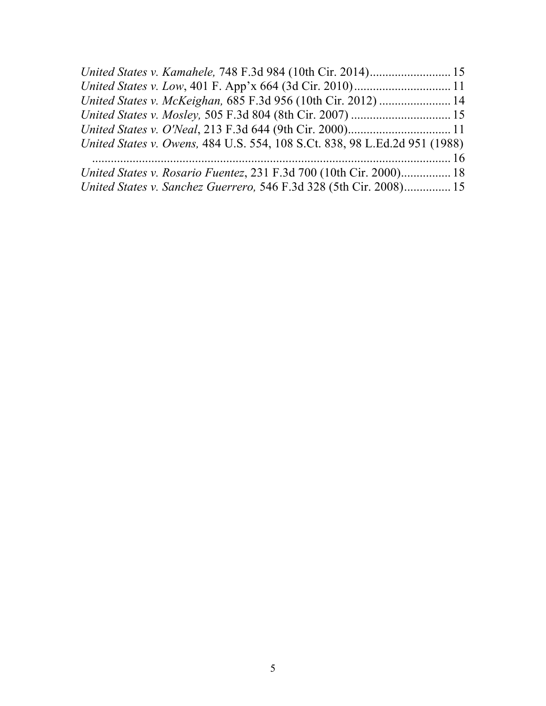| United States v. McKeighan, 685 F.3d 956 (10th Cir. 2012)  14              |  |
|----------------------------------------------------------------------------|--|
|                                                                            |  |
|                                                                            |  |
| United States v. Owens, 484 U.S. 554, 108 S.Ct. 838, 98 L.Ed.2d 951 (1988) |  |
|                                                                            |  |
| United States v. Rosario Fuentez, 231 F.3d 700 (10th Cir. 2000) 18         |  |
| United States v. Sanchez Guerrero, 546 F.3d 328 (5th Cir. 2008) 15         |  |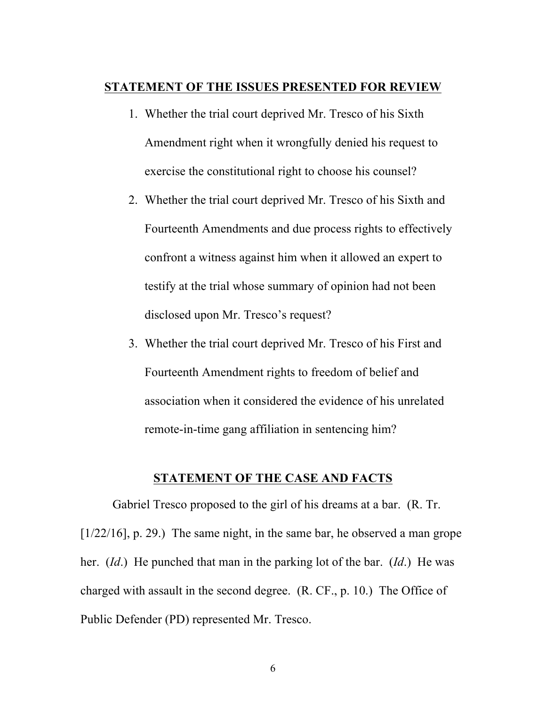#### **STATEMENT OF THE ISSUES PRESENTED FOR REVIEW**

- 1. Whether the trial court deprived Mr. Tresco of his Sixth Amendment right when it wrongfully denied his request to exercise the constitutional right to choose his counsel?
- 2. Whether the trial court deprived Mr. Tresco of his Sixth and Fourteenth Amendments and due process rights to effectively confront a witness against him when it allowed an expert to testify at the trial whose summary of opinion had not been disclosed upon Mr. Tresco's request?
- 3. Whether the trial court deprived Mr. Tresco of his First and Fourteenth Amendment rights to freedom of belief and association when it considered the evidence of his unrelated remote-in-time gang affiliation in sentencing him?

## **STATEMENT OF THE CASE AND FACTS**

Gabriel Tresco proposed to the girl of his dreams at a bar. (R. Tr. [ $1/22/16$ ], p. 29.) The same night, in the same bar, he observed a man grope her. (*Id*.) He punched that man in the parking lot of the bar. (*Id*.) He was charged with assault in the second degree. (R. CF., p. 10.) The Office of Public Defender (PD) represented Mr. Tresco.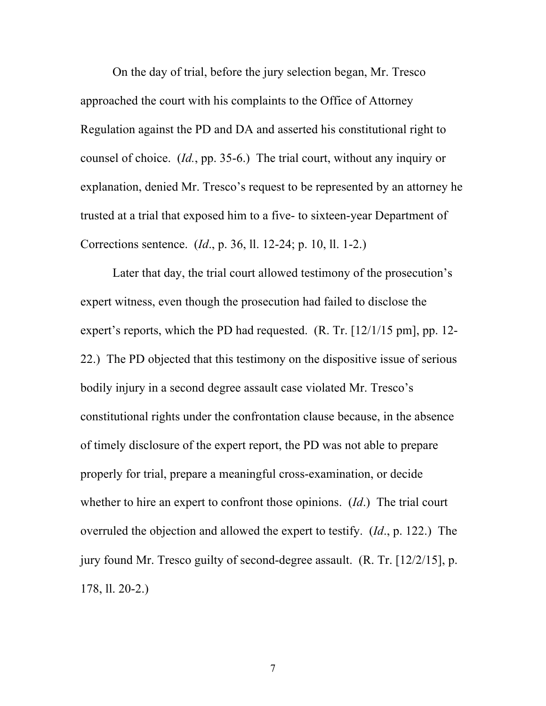On the day of trial, before the jury selection began, Mr. Tresco approached the court with his complaints to the Office of Attorney Regulation against the PD and DA and asserted his constitutional right to counsel of choice. (*Id.*, pp. 35-6.) The trial court, without any inquiry or explanation, denied Mr. Tresco's request to be represented by an attorney he trusted at a trial that exposed him to a five- to sixteen-year Department of Corrections sentence. (*Id*., p. 36, ll. 12-24; p. 10, ll. 1-2.)

Later that day, the trial court allowed testimony of the prosecution's expert witness, even though the prosecution had failed to disclose the expert's reports, which the PD had requested. (R. Tr. [12/1/15 pm], pp. 12- 22.) The PD objected that this testimony on the dispositive issue of serious bodily injury in a second degree assault case violated Mr. Tresco's constitutional rights under the confrontation clause because, in the absence of timely disclosure of the expert report, the PD was not able to prepare properly for trial, prepare a meaningful cross-examination, or decide whether to hire an expert to confront those opinions. (*Id*.) The trial court overruled the objection and allowed the expert to testify. (*Id*., p. 122.) The jury found Mr. Tresco guilty of second-degree assault. (R. Tr. [12/2/15], p. 178, ll. 20-2.)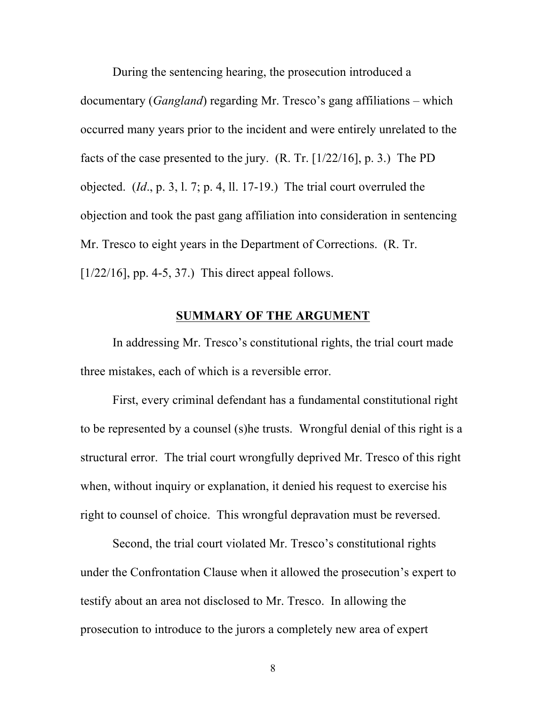During the sentencing hearing, the prosecution introduced a documentary (*Gangland*) regarding Mr. Tresco's gang affiliations – which occurred many years prior to the incident and were entirely unrelated to the facts of the case presented to the jury. (R. Tr. [1/22/16], p. 3.) The PD objected. (*Id*., p. 3, l. 7; p. 4, ll. 17-19.) The trial court overruled the objection and took the past gang affiliation into consideration in sentencing Mr. Tresco to eight years in the Department of Corrections. (R. Tr.  $[1/22/16]$ , pp. 4-5, 37.) This direct appeal follows.

## **SUMMARY OF THE ARGUMENT**

In addressing Mr. Tresco's constitutional rights, the trial court made three mistakes, each of which is a reversible error.

First, every criminal defendant has a fundamental constitutional right to be represented by a counsel (s)he trusts. Wrongful denial of this right is a structural error. The trial court wrongfully deprived Mr. Tresco of this right when, without inquiry or explanation, it denied his request to exercise his right to counsel of choice. This wrongful depravation must be reversed.

Second, the trial court violated Mr. Tresco's constitutional rights under the Confrontation Clause when it allowed the prosecution's expert to testify about an area not disclosed to Mr. Tresco. In allowing the prosecution to introduce to the jurors a completely new area of expert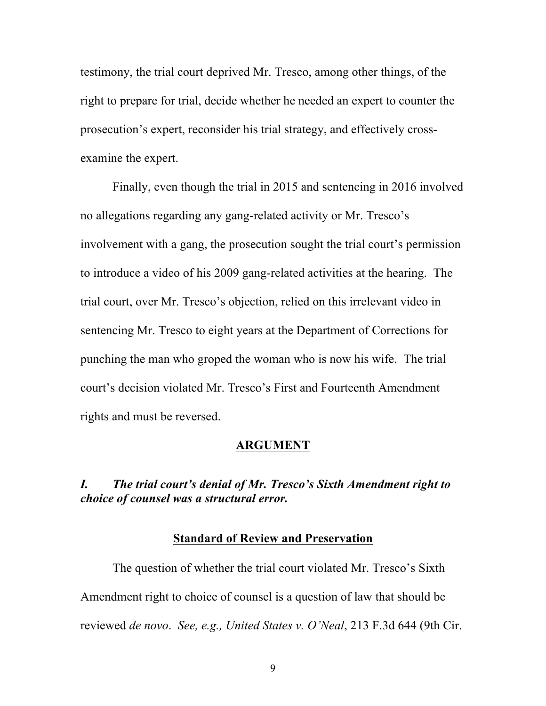testimony, the trial court deprived Mr. Tresco, among other things, of the right to prepare for trial, decide whether he needed an expert to counter the prosecution's expert, reconsider his trial strategy, and effectively crossexamine the expert.

Finally, even though the trial in 2015 and sentencing in 2016 involved no allegations regarding any gang-related activity or Mr. Tresco's involvement with a gang, the prosecution sought the trial court's permission to introduce a video of his 2009 gang-related activities at the hearing. The trial court, over Mr. Tresco's objection, relied on this irrelevant video in sentencing Mr. Tresco to eight years at the Department of Corrections for punching the man who groped the woman who is now his wife. The trial court's decision violated Mr. Tresco's First and Fourteenth Amendment rights and must be reversed.

#### **ARGUMENT**

## *I. The trial court's denial of Mr. Tresco's Sixth Amendment right to choice of counsel was a structural error.*

#### **Standard of Review and Preservation**

The question of whether the trial court violated Mr. Tresco's Sixth Amendment right to choice of counsel is a question of law that should be reviewed *de novo*. *See, e.g., United States v. O'Neal*, 213 F.3d 644 (9th Cir.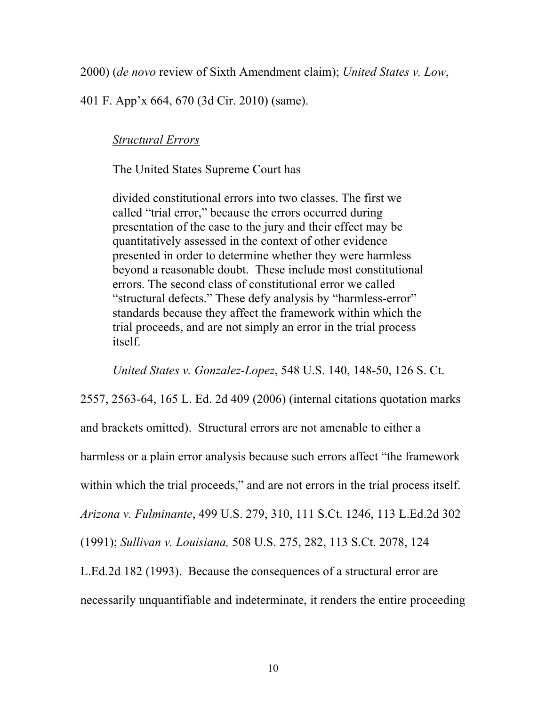2000) (*de novo* review of Sixth Amendment claim); *United States v. Low*,

401 F. App'x 664, 670 (3d Cir. 2010) (same).

*Structural Errors*

The United States Supreme Court has

divided constitutional errors into two classes. The first we called "trial error," because the errors occurred during presentation of the case to the jury and their effect may be quantitatively assessed in the context of other evidence presented in order to determine whether they were harmless beyond a reasonable doubt. These include most constitutional errors. The second class of constitutional error we called "structural defects." These defy analysis by "harmless-error" standards because they affect the framework within which the trial proceeds, and are not simply an error in the trial process itself.

*United States v. Gonzalez-Lopez*, 548 U.S. 140, 148-50, 126 S. Ct.

2557, 2563-64, 165 L. Ed. 2d 409 (2006) (internal citations quotation marks and brackets omitted). Structural errors are not amenable to either a harmless or a plain error analysis because such errors affect "the framework within which the trial proceeds," and are not errors in the trial process itself. *Arizona v. Fulminante*, 499 U.S. 279, 310, 111 S.Ct. 1246, 113 L.Ed.2d 302 (1991); *Sullivan v. Louisiana,* 508 U.S. 275, 282, 113 S.Ct. 2078, 124 L.Ed.2d 182 (1993). Because the consequences of a structural error are

necessarily unquantifiable and indeterminate, it renders the entire proceeding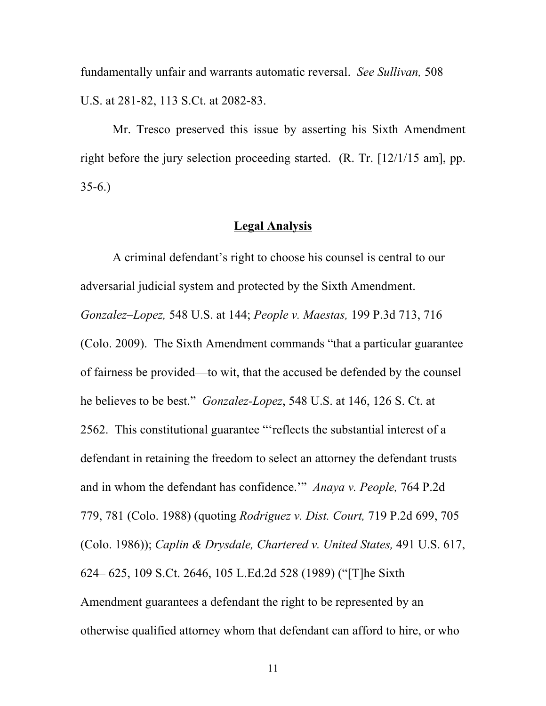fundamentally unfair and warrants automatic reversal. *See Sullivan,* 508 U.S. at 281-82, 113 S.Ct. at 2082-83.

Mr. Tresco preserved this issue by asserting his Sixth Amendment right before the jury selection proceeding started. (R. Tr. [12/1/15 am], pp.  $35-6.$ 

#### **Legal Analysis**

A criminal defendant's right to choose his counsel is central to our adversarial judicial system and protected by the Sixth Amendment. *Gonzalez–Lopez,* 548 U.S. at 144; *People v. Maestas,* 199 P.3d 713, 716 (Colo. 2009). The Sixth Amendment commands "that a particular guarantee of fairness be provided—to wit, that the accused be defended by the counsel he believes to be best." *Gonzalez-Lopez*, 548 U.S. at 146, 126 S. Ct. at 2562. This constitutional guarantee "'reflects the substantial interest of a defendant in retaining the freedom to select an attorney the defendant trusts and in whom the defendant has confidence.'" *Anaya v. People,* 764 P.2d 779, 781 (Colo. 1988) (quoting *Rodriguez v. Dist. Court,* 719 P.2d 699, 705 (Colo. 1986)); *Caplin & Drysdale, Chartered v. United States,* 491 U.S. 617, 624– 625, 109 S.Ct. 2646, 105 L.Ed.2d 528 (1989) ("[T]he Sixth Amendment guarantees a defendant the right to be represented by an otherwise qualified attorney whom that defendant can afford to hire, or who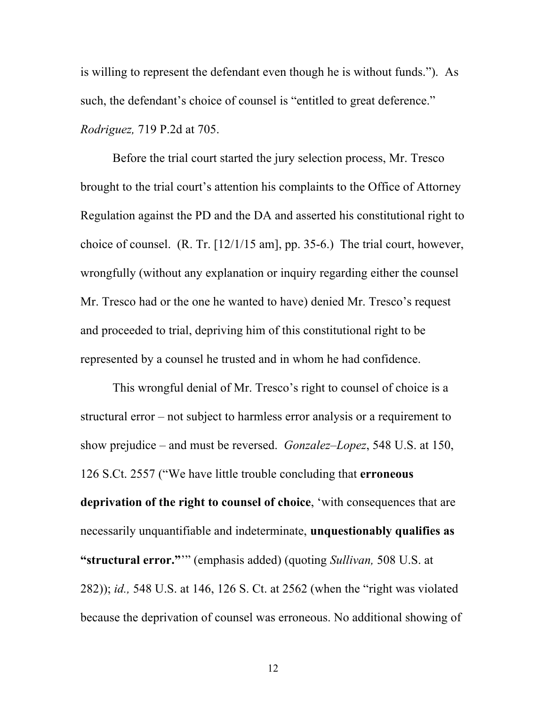is willing to represent the defendant even though he is without funds."). As such, the defendant's choice of counsel is "entitled to great deference." *Rodriguez,* 719 P.2d at 705.

Before the trial court started the jury selection process, Mr. Tresco brought to the trial court's attention his complaints to the Office of Attorney Regulation against the PD and the DA and asserted his constitutional right to choice of counsel. (R. Tr. [12/1/15 am], pp. 35-6.) The trial court, however, wrongfully (without any explanation or inquiry regarding either the counsel Mr. Tresco had or the one he wanted to have) denied Mr. Tresco's request and proceeded to trial, depriving him of this constitutional right to be represented by a counsel he trusted and in whom he had confidence.

This wrongful denial of Mr. Tresco's right to counsel of choice is a structural error – not subject to harmless error analysis or a requirement to show prejudice – and must be reversed. *Gonzalez–Lopez*, 548 U.S. at 150, 126 S.Ct. 2557 ("We have little trouble concluding that **erroneous deprivation of the right to counsel of choice**, 'with consequences that are necessarily unquantifiable and indeterminate, **unquestionably qualifies as "structural error."**'" (emphasis added) (quoting *Sullivan,* 508 U.S. at 282)); *id.,* 548 U.S. at 146, 126 S. Ct. at 2562 (when the "right was violated because the deprivation of counsel was erroneous. No additional showing of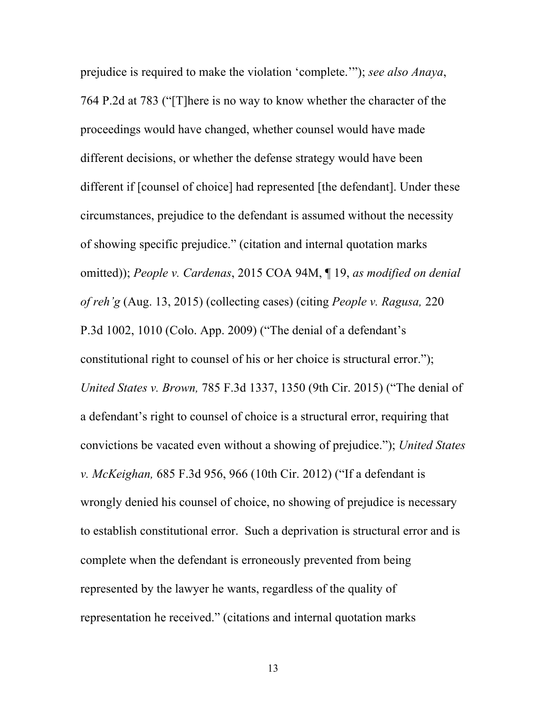prejudice is required to make the violation 'complete.'"); *see also Anaya*, 764 P.2d at 783 ("[T]here is no way to know whether the character of the proceedings would have changed, whether counsel would have made different decisions, or whether the defense strategy would have been different if [counsel of choice] had represented [the defendant]. Under these circumstances, prejudice to the defendant is assumed without the necessity of showing specific prejudice." (citation and internal quotation marks omitted)); *People v. Cardenas*, 2015 COA 94M, ¶ 19, *as modified on denial of reh'g* (Aug. 13, 2015) (collecting cases) (citing *People v. Ragusa,* 220 P.3d 1002, 1010 (Colo. App. 2009) ("The denial of a defendant's constitutional right to counsel of his or her choice is structural error."); *United States v. Brown,* 785 F.3d 1337, 1350 (9th Cir. 2015) ("The denial of a defendant's right to counsel of choice is a structural error, requiring that convictions be vacated even without a showing of prejudice."); *United States v. McKeighan,* 685 F.3d 956, 966 (10th Cir. 2012) ("If a defendant is wrongly denied his counsel of choice, no showing of prejudice is necessary to establish constitutional error. Such a deprivation is structural error and is complete when the defendant is erroneously prevented from being represented by the lawyer he wants, regardless of the quality of representation he received." (citations and internal quotation marks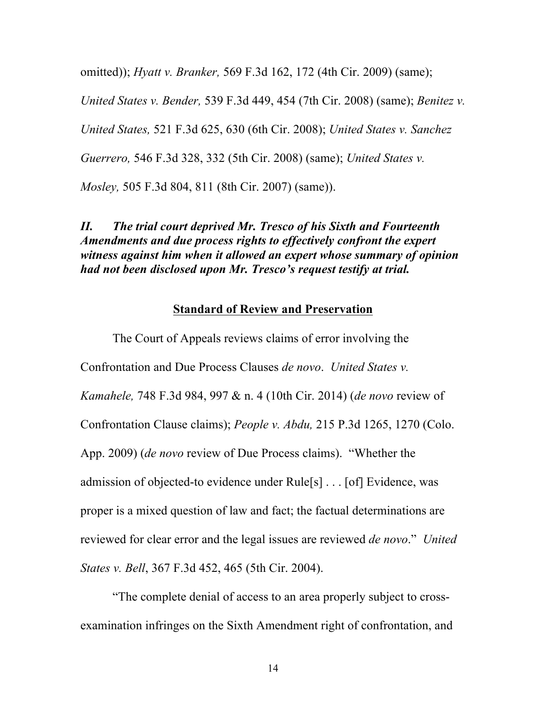omitted)); *Hyatt v. Branker,* 569 F.3d 162, 172 (4th Cir. 2009) (same);

*United States v. Bender,* 539 F.3d 449, 454 (7th Cir. 2008) (same); *Benitez v.* 

*United States,* 521 F.3d 625, 630 (6th Cir. 2008); *United States v. Sanchez* 

*Guerrero,* 546 F.3d 328, 332 (5th Cir. 2008) (same); *United States v.* 

*Mosley,* 505 F.3d 804, 811 (8th Cir. 2007) (same)).

## *II. The trial court deprived Mr. Tresco of his Sixth and Fourteenth Amendments and due process rights to effectively confront the expert witness against him when it allowed an expert whose summary of opinion had not been disclosed upon Mr. Tresco's request testify at trial.*

#### **Standard of Review and Preservation**

The Court of Appeals reviews claims of error involving the Confrontation and Due Process Clauses *de novo*. *United States v. Kamahele,* 748 F.3d 984, 997 & n. 4 (10th Cir. 2014) (*de novo* review of Confrontation Clause claims); *People v. Abdu,* 215 P.3d 1265, 1270 (Colo. App. 2009) (*de novo* review of Due Process claims). "Whether the admission of objected-to evidence under Rule[s] . . . [of] Evidence, was proper is a mixed question of law and fact; the factual determinations are reviewed for clear error and the legal issues are reviewed *de novo*." *United States v. Bell*, 367 F.3d 452, 465 (5th Cir. 2004).

"The complete denial of access to an area properly subject to crossexamination infringes on the Sixth Amendment right of confrontation, and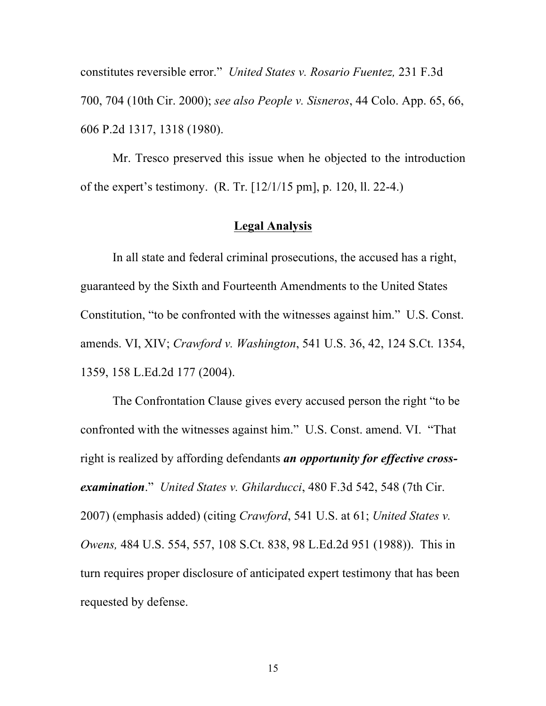constitutes reversible error." *United States v. Rosario Fuentez,* 231 F.3d 700, 704 (10th Cir. 2000); *see also People v. Sisneros*, 44 Colo. App. 65, 66, 606 P.2d 1317, 1318 (1980).

Mr. Tresco preserved this issue when he objected to the introduction of the expert's testimony. (R. Tr. [12/1/15 pm], p. 120, ll. 22-4.)

## **Legal Analysis**

In all state and federal criminal prosecutions, the accused has a right, guaranteed by the Sixth and Fourteenth Amendments to the United States Constitution, "to be confronted with the witnesses against him." U.S. Const. amends. VI, XIV; *Crawford v. Washington*, 541 U.S. 36, 42, 124 S.Ct. 1354, 1359, 158 L.Ed.2d 177 (2004).

The Confrontation Clause gives every accused person the right "to be confronted with the witnesses against him." U.S. Const. amend. VI. "That right is realized by affording defendants *an opportunity for effective crossexamination*." *United States v. Ghilarducci*, 480 F.3d 542, 548 (7th Cir. 2007) (emphasis added) (citing *Crawford*, 541 U.S. at 61; *United States v. Owens,* 484 U.S. 554, 557, 108 S.Ct. 838, 98 L.Ed.2d 951 (1988)). This in turn requires proper disclosure of anticipated expert testimony that has been requested by defense.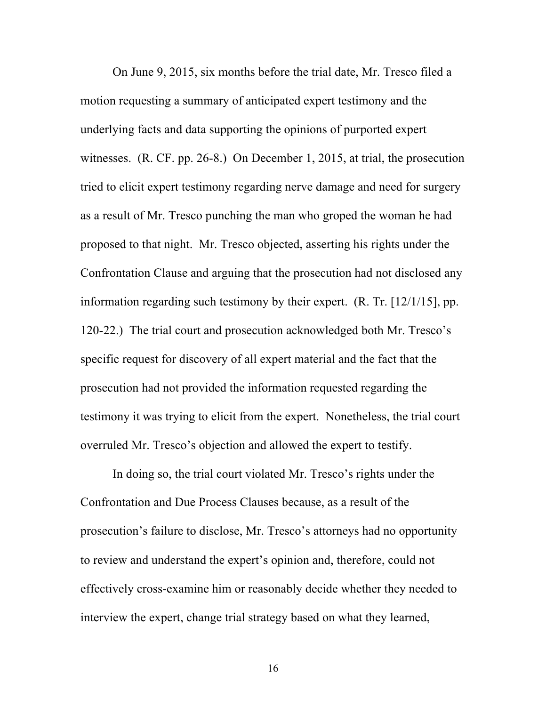On June 9, 2015, six months before the trial date, Mr. Tresco filed a motion requesting a summary of anticipated expert testimony and the underlying facts and data supporting the opinions of purported expert witnesses. (R. CF. pp. 26-8.) On December 1, 2015, at trial, the prosecution tried to elicit expert testimony regarding nerve damage and need for surgery as a result of Mr. Tresco punching the man who groped the woman he had proposed to that night. Mr. Tresco objected, asserting his rights under the Confrontation Clause and arguing that the prosecution had not disclosed any information regarding such testimony by their expert. (R. Tr. [12/1/15], pp. 120-22.) The trial court and prosecution acknowledged both Mr. Tresco's specific request for discovery of all expert material and the fact that the prosecution had not provided the information requested regarding the testimony it was trying to elicit from the expert. Nonetheless, the trial court overruled Mr. Tresco's objection and allowed the expert to testify.

In doing so, the trial court violated Mr. Tresco's rights under the Confrontation and Due Process Clauses because, as a result of the prosecution's failure to disclose, Mr. Tresco's attorneys had no opportunity to review and understand the expert's opinion and, therefore, could not effectively cross-examine him or reasonably decide whether they needed to interview the expert, change trial strategy based on what they learned,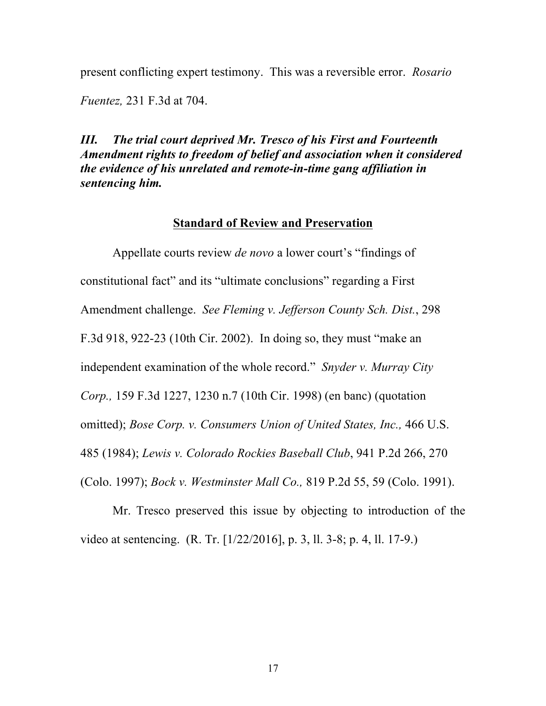present conflicting expert testimony. This was a reversible error. *Rosario Fuentez,* 231 F.3d at 704.

*III. The trial court deprived Mr. Tresco of his First and Fourteenth Amendment rights to freedom of belief and association when it considered the evidence of his unrelated and remote-in-time gang affiliation in sentencing him.*

#### **Standard of Review and Preservation**

Appellate courts review *de novo* a lower court's "findings of constitutional fact" and its "ultimate conclusions" regarding a First Amendment challenge. *See Fleming v. Jefferson County Sch. Dist.*, 298 F.3d 918, 922-23 (10th Cir. 2002). In doing so, they must "make an independent examination of the whole record." *Snyder v. Murray City Corp.,* 159 F.3d 1227, 1230 n.7 (10th Cir. 1998) (en banc) (quotation omitted); *Bose Corp. v. Consumers Union of United States, Inc.,* 466 U.S. 485 (1984); *Lewis v. Colorado Rockies Baseball Club*, 941 P.2d 266, 270 (Colo. 1997); *Bock v. Westminster Mall Co.,* 819 P.2d 55, 59 (Colo. 1991).

Mr. Tresco preserved this issue by objecting to introduction of the video at sentencing. (R. Tr. [1/22/2016], p. 3, ll. 3-8; p. 4, ll. 17-9.)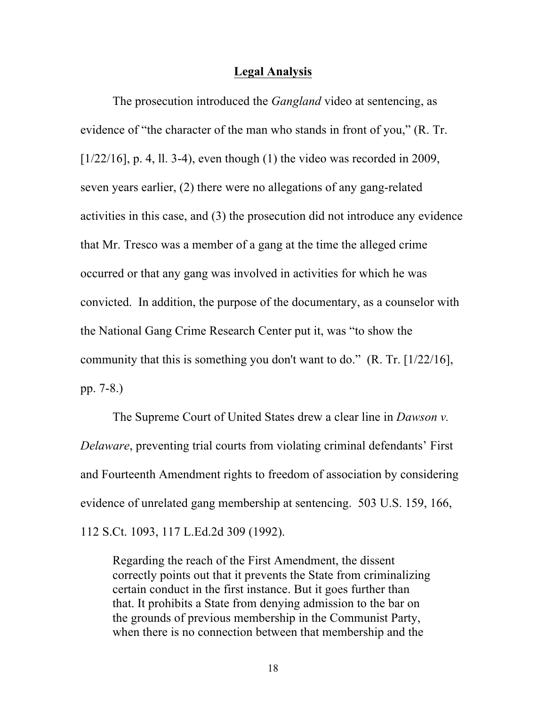#### **Legal Analysis**

The prosecution introduced the *Gangland* video at sentencing, as evidence of "the character of the man who stands in front of you," (R. Tr. [ $1/22/16$ ], p. 4, ll. 3-4), even though (1) the video was recorded in 2009, seven years earlier, (2) there were no allegations of any gang-related activities in this case, and (3) the prosecution did not introduce any evidence that Mr. Tresco was a member of a gang at the time the alleged crime occurred or that any gang was involved in activities for which he was convicted. In addition, the purpose of the documentary, as a counselor with the National Gang Crime Research Center put it, was "to show the community that this is something you don't want to do." (R. Tr. [1/22/16], pp. 7-8.)

The Supreme Court of United States drew a clear line in *Dawson v. Delaware*, preventing trial courts from violating criminal defendants' First and Fourteenth Amendment rights to freedom of association by considering evidence of unrelated gang membership at sentencing. 503 U.S. 159, 166, 112 S.Ct. 1093, 117 L.Ed.2d 309 (1992).

Regarding the reach of the First Amendment, the dissent correctly points out that it prevents the State from criminalizing certain conduct in the first instance. But it goes further than that. It prohibits a State from denying admission to the bar on the grounds of previous membership in the Communist Party, when there is no connection between that membership and the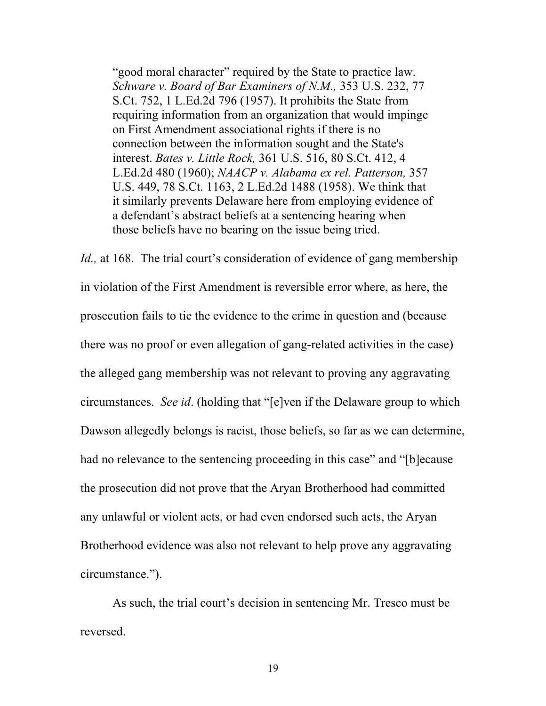"good moral character" required by the State to practice law. *Schware v. Board of Bar Examiners of N.M.,* 353 U.S. 232, 77 S.Ct. 752, 1 L.Ed.2d 796 (1957). It prohibits the State from requiring information from an organization that would impinge on First Amendment associational rights if there is no connection between the information sought and the State's interest. *Bates v. Little Rock,* 361 U.S. 516, 80 S.Ct. 412, 4 L.Ed.2d 480 (1960); *NAACP v. Alabama ex rel. Patterson,* 357 U.S. 449, 78 S.Ct. 1163, 2 L.Ed.2d 1488 (1958). We think that it similarly prevents Delaware here from employing evidence of a defendant's abstract beliefs at a sentencing hearing when those beliefs have no bearing on the issue being tried.

*Id.*, at 168. The trial court's consideration of evidence of gang membership in violation of the First Amendment is reversible error where, as here, the prosecution fails to tie the evidence to the crime in question and (because there was no proof or even allegation of gang-related activities in the case) the alleged gang membership was not relevant to proving any aggravating circumstances. *See id*. (holding that "[e]ven if the Delaware group to which Dawson allegedly belongs is racist, those beliefs, so far as we can determine, had no relevance to the sentencing proceeding in this case" and "[b]ecause the prosecution did not prove that the Aryan Brotherhood had committed any unlawful or violent acts, or had even endorsed such acts, the Aryan Brotherhood evidence was also not relevant to help prove any aggravating circumstance.").

As such, the trial court's decision in sentencing Mr. Tresco must be reversed.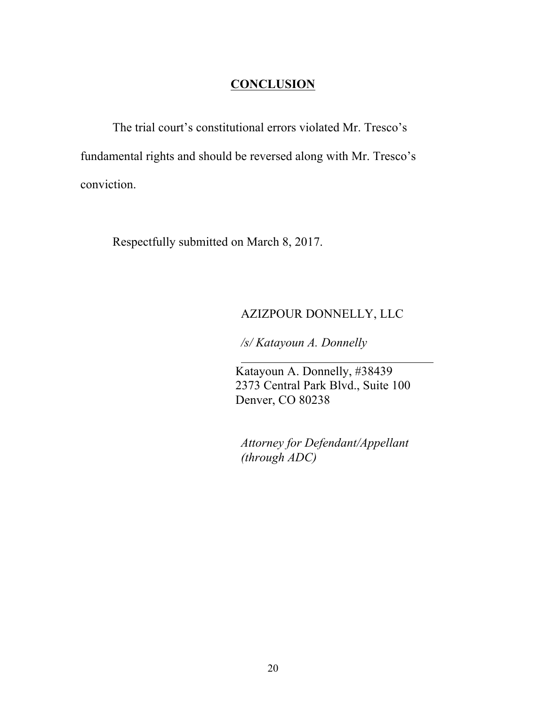## **CONCLUSION**

The trial court's constitutional errors violated Mr. Tresco's fundamental rights and should be reversed along with Mr. Tresco's conviction.

Respectfully submitted on March 8, 2017.

## AZIZPOUR DONNELLY, LLC

*/s/ Katayoun A. Donnelly*

Katayoun A. Donnelly, #38439 2373 Central Park Blvd., Suite 100 Denver, CO 80238

*Attorney for Defendant/Appellant (through ADC)*